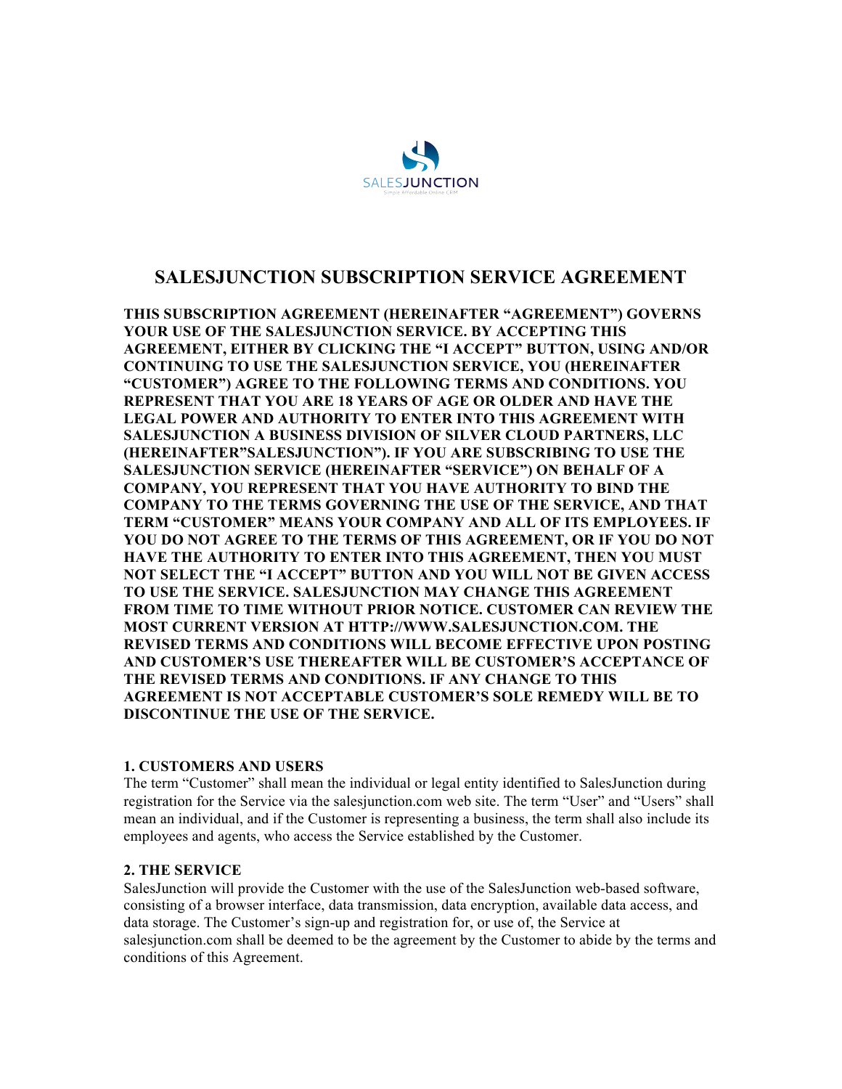

# **SALESJUNCTION SUBSCRIPTION SERVICE AGREEMENT**

**THIS SUBSCRIPTION AGREEMENT (HEREINAFTER "AGREEMENT") GOVERNS YOUR USE OF THE SALESJUNCTION SERVICE. BY ACCEPTING THIS AGREEMENT, EITHER BY CLICKING THE "I ACCEPT" BUTTON, USING AND/OR CONTINUING TO USE THE SALESJUNCTION SERVICE, YOU (HEREINAFTER "CUSTOMER") AGREE TO THE FOLLOWING TERMS AND CONDITIONS. YOU REPRESENT THAT YOU ARE 18 YEARS OF AGE OR OLDER AND HAVE THE LEGAL POWER AND AUTHORITY TO ENTER INTO THIS AGREEMENT WITH SALESJUNCTION A BUSINESS DIVISION OF SILVER CLOUD PARTNERS, LLC (HEREINAFTER"SALESJUNCTION"). IF YOU ARE SUBSCRIBING TO USE THE SALESJUNCTION SERVICE (HEREINAFTER "SERVICE") ON BEHALF OF A COMPANY, YOU REPRESENT THAT YOU HAVE AUTHORITY TO BIND THE COMPANY TO THE TERMS GOVERNING THE USE OF THE SERVICE, AND THAT TERM "CUSTOMER" MEANS YOUR COMPANY AND ALL OF ITS EMPLOYEES. IF YOU DO NOT AGREE TO THE TERMS OF THIS AGREEMENT, OR IF YOU DO NOT HAVE THE AUTHORITY TO ENTER INTO THIS AGREEMENT, THEN YOU MUST NOT SELECT THE "I ACCEPT" BUTTON AND YOU WILL NOT BE GIVEN ACCESS TO USE THE SERVICE. SALESJUNCTION MAY CHANGE THIS AGREEMENT FROM TIME TO TIME WITHOUT PRIOR NOTICE. CUSTOMER CAN REVIEW THE MOST CURRENT VERSION AT HTTP://WWW.SALESJUNCTION.COM. THE REVISED TERMS AND CONDITIONS WILL BECOME EFFECTIVE UPON POSTING AND CUSTOMER'S USE THEREAFTER WILL BE CUSTOMER'S ACCEPTANCE OF THE REVISED TERMS AND CONDITIONS. IF ANY CHANGE TO THIS AGREEMENT IS NOT ACCEPTABLE CUSTOMER'S SOLE REMEDY WILL BE TO DISCONTINUE THE USE OF THE SERVICE.**

### **1. CUSTOMERS AND USERS**

The term "Customer" shall mean the individual or legal entity identified to SalesJunction during registration for the Service via the salesjunction.com web site. The term "User" and "Users" shall mean an individual, and if the Customer is representing a business, the term shall also include its employees and agents, who access the Service established by the Customer.

### **2. THE SERVICE**

SalesJunction will provide the Customer with the use of the SalesJunction web-based software, consisting of a browser interface, data transmission, data encryption, available data access, and data storage. The Customer's sign-up and registration for, or use of, the Service at salesjunction.com shall be deemed to be the agreement by the Customer to abide by the terms and conditions of this Agreement.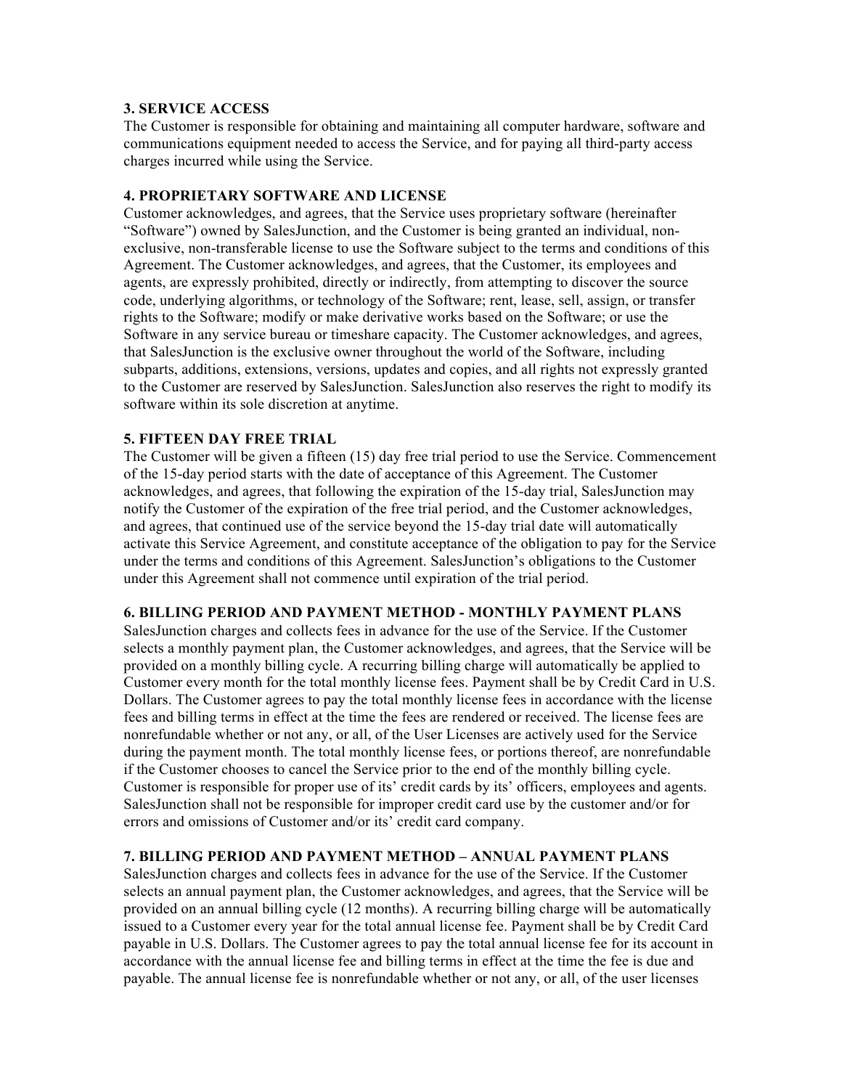### **3. SERVICE ACCESS**

The Customer is responsible for obtaining and maintaining all computer hardware, software and communications equipment needed to access the Service, and for paying all third-party access charges incurred while using the Service.

#### **4. PROPRIETARY SOFTWARE AND LICENSE**

Customer acknowledges, and agrees, that the Service uses proprietary software (hereinafter "Software") owned by SalesJunction, and the Customer is being granted an individual, nonexclusive, non-transferable license to use the Software subject to the terms and conditions of this Agreement. The Customer acknowledges, and agrees, that the Customer, its employees and agents, are expressly prohibited, directly or indirectly, from attempting to discover the source code, underlying algorithms, or technology of the Software; rent, lease, sell, assign, or transfer rights to the Software; modify or make derivative works based on the Software; or use the Software in any service bureau or timeshare capacity. The Customer acknowledges, and agrees, that SalesJunction is the exclusive owner throughout the world of the Software, including subparts, additions, extensions, versions, updates and copies, and all rights not expressly granted to the Customer are reserved by SalesJunction. SalesJunction also reserves the right to modify its software within its sole discretion at anytime.

#### **5. FIFTEEN DAY FREE TRIAL**

The Customer will be given a fifteen (15) day free trial period to use the Service. Commencement of the 15-day period starts with the date of acceptance of this Agreement. The Customer acknowledges, and agrees, that following the expiration of the 15-day trial, SalesJunction may notify the Customer of the expiration of the free trial period, and the Customer acknowledges, and agrees, that continued use of the service beyond the 15-day trial date will automatically activate this Service Agreement, and constitute acceptance of the obligation to pay for the Service under the terms and conditions of this Agreement. SalesJunction's obligations to the Customer under this Agreement shall not commence until expiration of the trial period.

### **6. BILLING PERIOD AND PAYMENT METHOD - MONTHLY PAYMENT PLANS**

SalesJunction charges and collects fees in advance for the use of the Service. If the Customer selects a monthly payment plan, the Customer acknowledges, and agrees, that the Service will be provided on a monthly billing cycle. A recurring billing charge will automatically be applied to Customer every month for the total monthly license fees. Payment shall be by Credit Card in U.S. Dollars. The Customer agrees to pay the total monthly license fees in accordance with the license fees and billing terms in effect at the time the fees are rendered or received. The license fees are nonrefundable whether or not any, or all, of the User Licenses are actively used for the Service during the payment month. The total monthly license fees, or portions thereof, are nonrefundable if the Customer chooses to cancel the Service prior to the end of the monthly billing cycle. Customer is responsible for proper use of its' credit cards by its' officers, employees and agents. SalesJunction shall not be responsible for improper credit card use by the customer and/or for errors and omissions of Customer and/or its' credit card company.

### **7. BILLING PERIOD AND PAYMENT METHOD – ANNUAL PAYMENT PLANS**

SalesJunction charges and collects fees in advance for the use of the Service. If the Customer selects an annual payment plan, the Customer acknowledges, and agrees, that the Service will be provided on an annual billing cycle (12 months). A recurring billing charge will be automatically issued to a Customer every year for the total annual license fee. Payment shall be by Credit Card payable in U.S. Dollars. The Customer agrees to pay the total annual license fee for its account in accordance with the annual license fee and billing terms in effect at the time the fee is due and payable. The annual license fee is nonrefundable whether or not any, or all, of the user licenses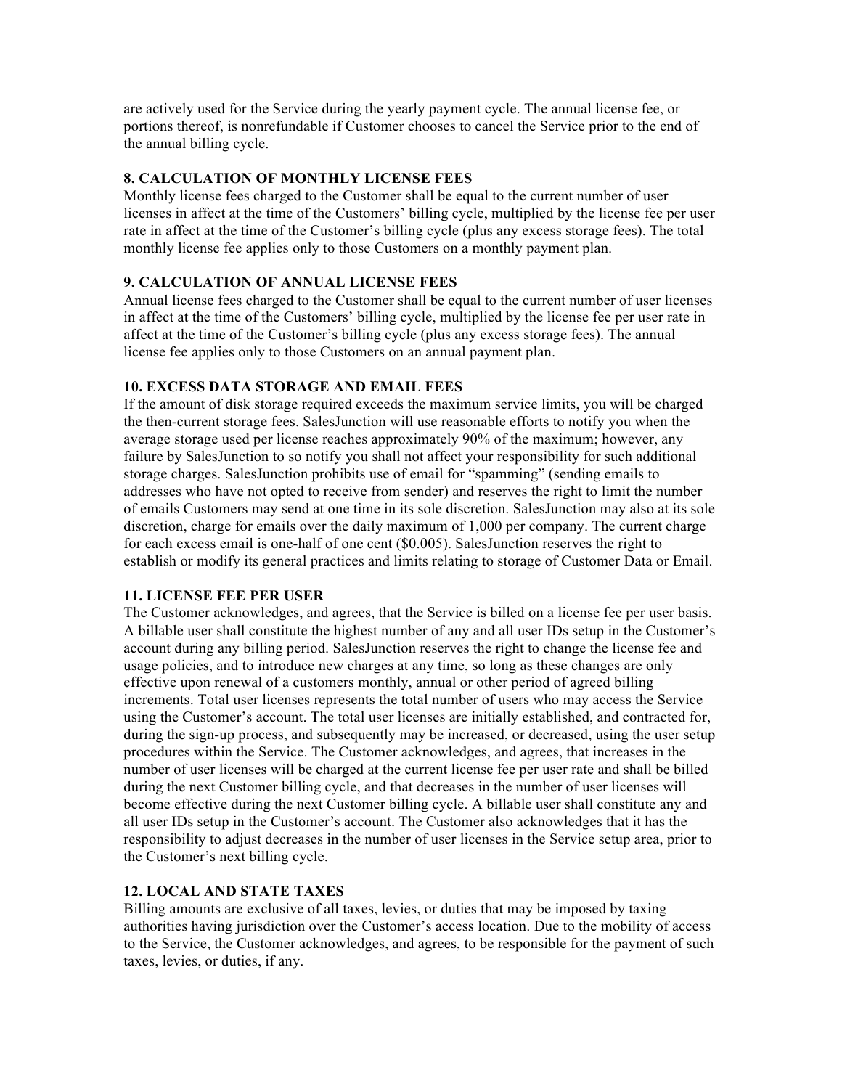are actively used for the Service during the yearly payment cycle. The annual license fee, or portions thereof, is nonrefundable if Customer chooses to cancel the Service prior to the end of the annual billing cycle.

# **8. CALCULATION OF MONTHLY LICENSE FEES**

Monthly license fees charged to the Customer shall be equal to the current number of user licenses in affect at the time of the Customers' billing cycle, multiplied by the license fee per user rate in affect at the time of the Customer's billing cycle (plus any excess storage fees). The total monthly license fee applies only to those Customers on a monthly payment plan.

# **9. CALCULATION OF ANNUAL LICENSE FEES**

Annual license fees charged to the Customer shall be equal to the current number of user licenses in affect at the time of the Customers' billing cycle, multiplied by the license fee per user rate in affect at the time of the Customer's billing cycle (plus any excess storage fees). The annual license fee applies only to those Customers on an annual payment plan.

# **10. EXCESS DATA STORAGE AND EMAIL FEES**

If the amount of disk storage required exceeds the maximum service limits, you will be charged the then-current storage fees. SalesJunction will use reasonable efforts to notify you when the average storage used per license reaches approximately 90% of the maximum; however, any failure by SalesJunction to so notify you shall not affect your responsibility for such additional storage charges. SalesJunction prohibits use of email for "spamming" (sending emails to addresses who have not opted to receive from sender) and reserves the right to limit the number of emails Customers may send at one time in its sole discretion. SalesJunction may also at its sole discretion, charge for emails over the daily maximum of 1,000 per company. The current charge for each excess email is one-half of one cent (\$0.005). SalesJunction reserves the right to establish or modify its general practices and limits relating to storage of Customer Data or Email.

### **11. LICENSE FEE PER USER**

The Customer acknowledges, and agrees, that the Service is billed on a license fee per user basis. A billable user shall constitute the highest number of any and all user IDs setup in the Customer's account during any billing period. SalesJunction reserves the right to change the license fee and usage policies, and to introduce new charges at any time, so long as these changes are only effective upon renewal of a customers monthly, annual or other period of agreed billing increments. Total user licenses represents the total number of users who may access the Service using the Customer's account. The total user licenses are initially established, and contracted for, during the sign-up process, and subsequently may be increased, or decreased, using the user setup procedures within the Service. The Customer acknowledges, and agrees, that increases in the number of user licenses will be charged at the current license fee per user rate and shall be billed during the next Customer billing cycle, and that decreases in the number of user licenses will become effective during the next Customer billing cycle. A billable user shall constitute any and all user IDs setup in the Customer's account. The Customer also acknowledges that it has the responsibility to adjust decreases in the number of user licenses in the Service setup area, prior to the Customer's next billing cycle.

### **12. LOCAL AND STATE TAXES**

Billing amounts are exclusive of all taxes, levies, or duties that may be imposed by taxing authorities having jurisdiction over the Customer's access location. Due to the mobility of access to the Service, the Customer acknowledges, and agrees, to be responsible for the payment of such taxes, levies, or duties, if any.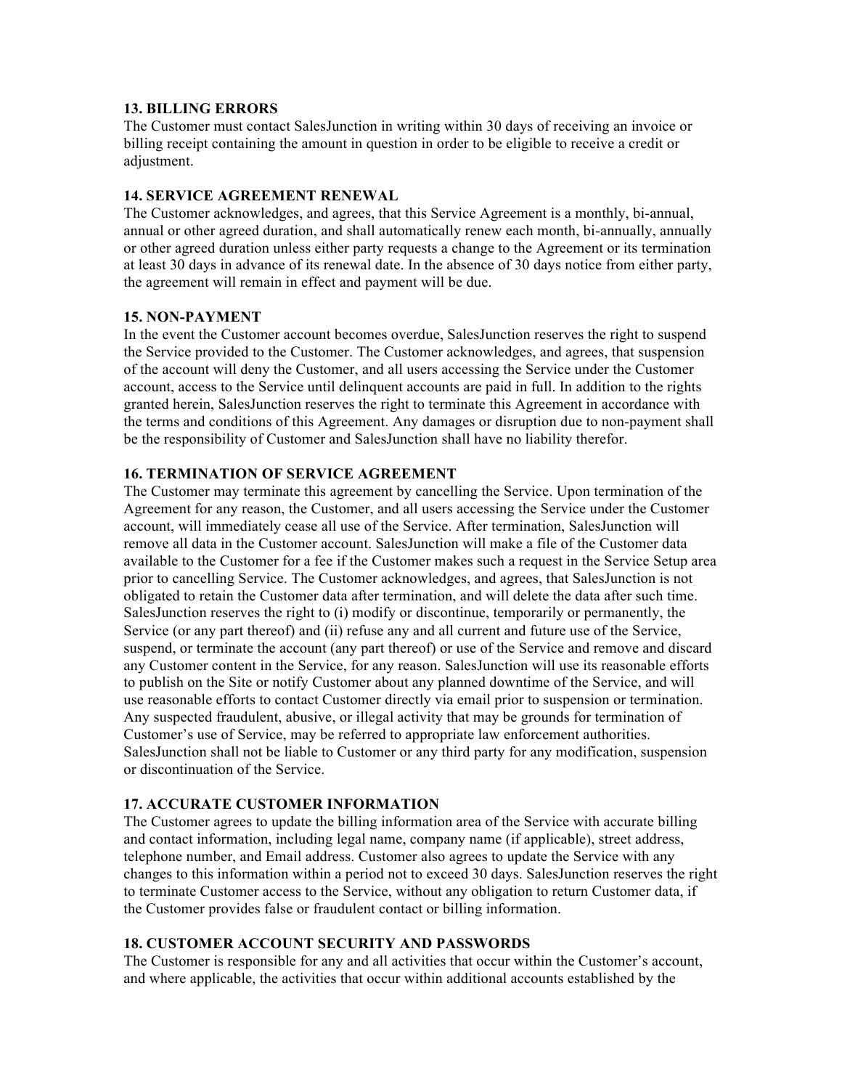### **13. BILLING ERRORS**

The Customer must contact SalesJunction in writing within 30 days of receiving an invoice or billing receipt containing the amount in question in order to be eligible to receive a credit or adjustment.

#### **14. SERVICE AGREEMENT RENEWAL**

The Customer acknowledges, and agrees, that this Service Agreement is a monthly, bi-annual, annual or other agreed duration, and shall automatically renew each month, bi-annually, annually or other agreed duration unless either party requests a change to the Agreement or its termination at least 30 days in advance of its renewal date. In the absence of 30 days notice from either party, the agreement will remain in effect and payment will be due.

#### **15. NON-PAYMENT**

In the event the Customer account becomes overdue, SalesJunction reserves the right to suspend the Service provided to the Customer. The Customer acknowledges, and agrees, that suspension of the account will deny the Customer, and all users accessing the Service under the Customer account, access to the Service until delinquent accounts are paid in full. In addition to the rights granted herein, SalesJunction reserves the right to terminate this Agreement in accordance with the terms and conditions of this Agreement. Any damages or disruption due to non-payment shall be the responsibility of Customer and SalesJunction shall have no liability therefor.

### **16. TERMINATION OF SERVICE AGREEMENT**

The Customer may terminate this agreement by cancelling the Service. Upon termination of the Agreement for any reason, the Customer, and all users accessing the Service under the Customer account, will immediately cease all use of the Service. After termination, SalesJunction will remove all data in the Customer account. SalesJunction will make a file of the Customer data available to the Customer for a fee if the Customer makes such a request in the Service Setup area prior to cancelling Service. The Customer acknowledges, and agrees, that SalesJunction is not obligated to retain the Customer data after termination, and will delete the data after such time. SalesJunction reserves the right to (i) modify or discontinue, temporarily or permanently, the Service (or any part thereof) and (ii) refuse any and all current and future use of the Service, suspend, or terminate the account (any part thereof) or use of the Service and remove and discard any Customer content in the Service, for any reason. SalesJunction will use its reasonable efforts to publish on the Site or notify Customer about any planned downtime of the Service, and will use reasonable efforts to contact Customer directly via email prior to suspension or termination. Any suspected fraudulent, abusive, or illegal activity that may be grounds for termination of Customer's use of Service, may be referred to appropriate law enforcement authorities. SalesJunction shall not be liable to Customer or any third party for any modification, suspension or discontinuation of the Service.

### **17. ACCURATE CUSTOMER INFORMATION**

The Customer agrees to update the billing information area of the Service with accurate billing and contact information, including legal name, company name (if applicable), street address, telephone number, and Email address. Customer also agrees to update the Service with any changes to this information within a period not to exceed 30 days. SalesJunction reserves the right to terminate Customer access to the Service, without any obligation to return Customer data, if the Customer provides false or fraudulent contact or billing information.

#### **18. CUSTOMER ACCOUNT SECURITY AND PASSWORDS**

The Customer is responsible for any and all activities that occur within the Customer's account, and where applicable, the activities that occur within additional accounts established by the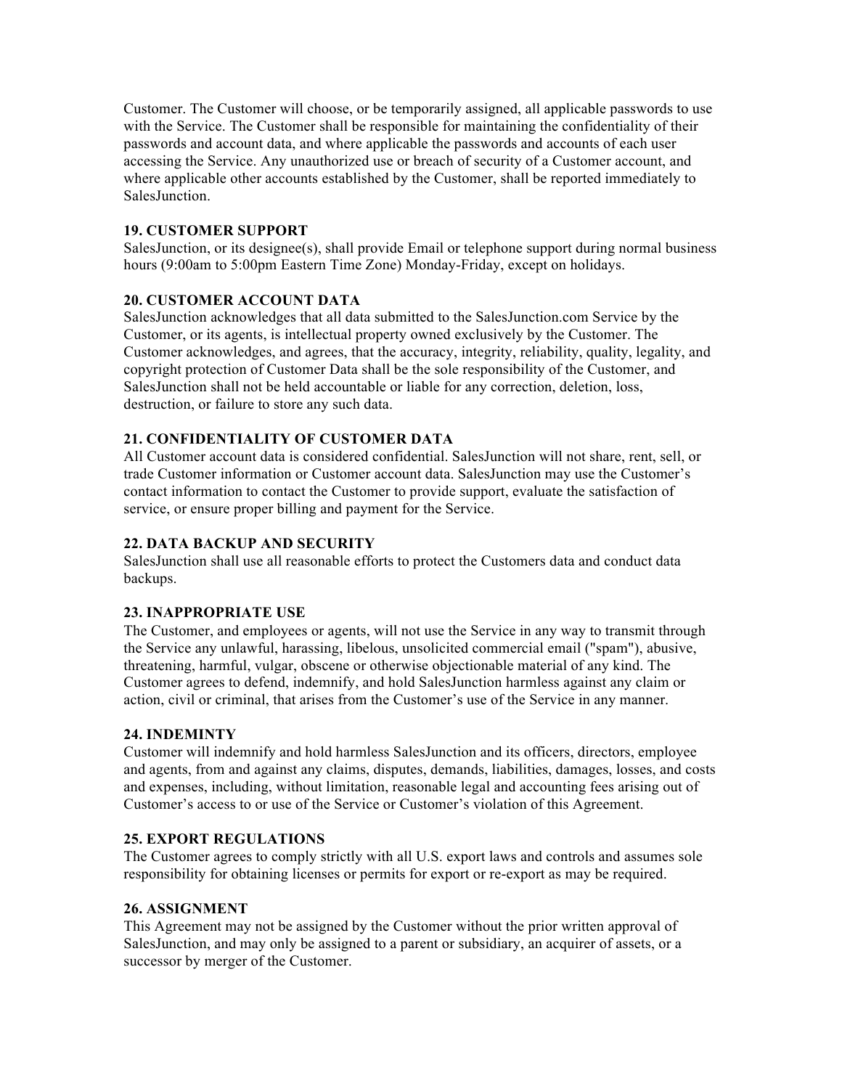Customer. The Customer will choose, or be temporarily assigned, all applicable passwords to use with the Service. The Customer shall be responsible for maintaining the confidentiality of their passwords and account data, and where applicable the passwords and accounts of each user accessing the Service. Any unauthorized use or breach of security of a Customer account, and where applicable other accounts established by the Customer, shall be reported immediately to SalesJunction.

# **19. CUSTOMER SUPPORT**

SalesJunction, or its designee(s), shall provide Email or telephone support during normal business hours (9:00am to 5:00pm Eastern Time Zone) Monday-Friday, except on holidays.

### **20. CUSTOMER ACCOUNT DATA**

SalesJunction acknowledges that all data submitted to the SalesJunction.com Service by the Customer, or its agents, is intellectual property owned exclusively by the Customer. The Customer acknowledges, and agrees, that the accuracy, integrity, reliability, quality, legality, and copyright protection of Customer Data shall be the sole responsibility of the Customer, and SalesJunction shall not be held accountable or liable for any correction, deletion, loss, destruction, or failure to store any such data.

# **21. CONFIDENTIALITY OF CUSTOMER DATA**

All Customer account data is considered confidential. SalesJunction will not share, rent, sell, or trade Customer information or Customer account data. SalesJunction may use the Customer's contact information to contact the Customer to provide support, evaluate the satisfaction of service, or ensure proper billing and payment for the Service.

# **22. DATA BACKUP AND SECURITY**

SalesJunction shall use all reasonable efforts to protect the Customers data and conduct data backups.

### **23. INAPPROPRIATE USE**

The Customer, and employees or agents, will not use the Service in any way to transmit through the Service any unlawful, harassing, libelous, unsolicited commercial email ("spam"), abusive, threatening, harmful, vulgar, obscene or otherwise objectionable material of any kind. The Customer agrees to defend, indemnify, and hold SalesJunction harmless against any claim or action, civil or criminal, that arises from the Customer's use of the Service in any manner.

### **24. INDEMINTY**

Customer will indemnify and hold harmless SalesJunction and its officers, directors, employee and agents, from and against any claims, disputes, demands, liabilities, damages, losses, and costs and expenses, including, without limitation, reasonable legal and accounting fees arising out of Customer's access to or use of the Service or Customer's violation of this Agreement.

### **25. EXPORT REGULATIONS**

The Customer agrees to comply strictly with all U.S. export laws and controls and assumes sole responsibility for obtaining licenses or permits for export or re-export as may be required.

### **26. ASSIGNMENT**

This Agreement may not be assigned by the Customer without the prior written approval of SalesJunction, and may only be assigned to a parent or subsidiary, an acquirer of assets, or a successor by merger of the Customer.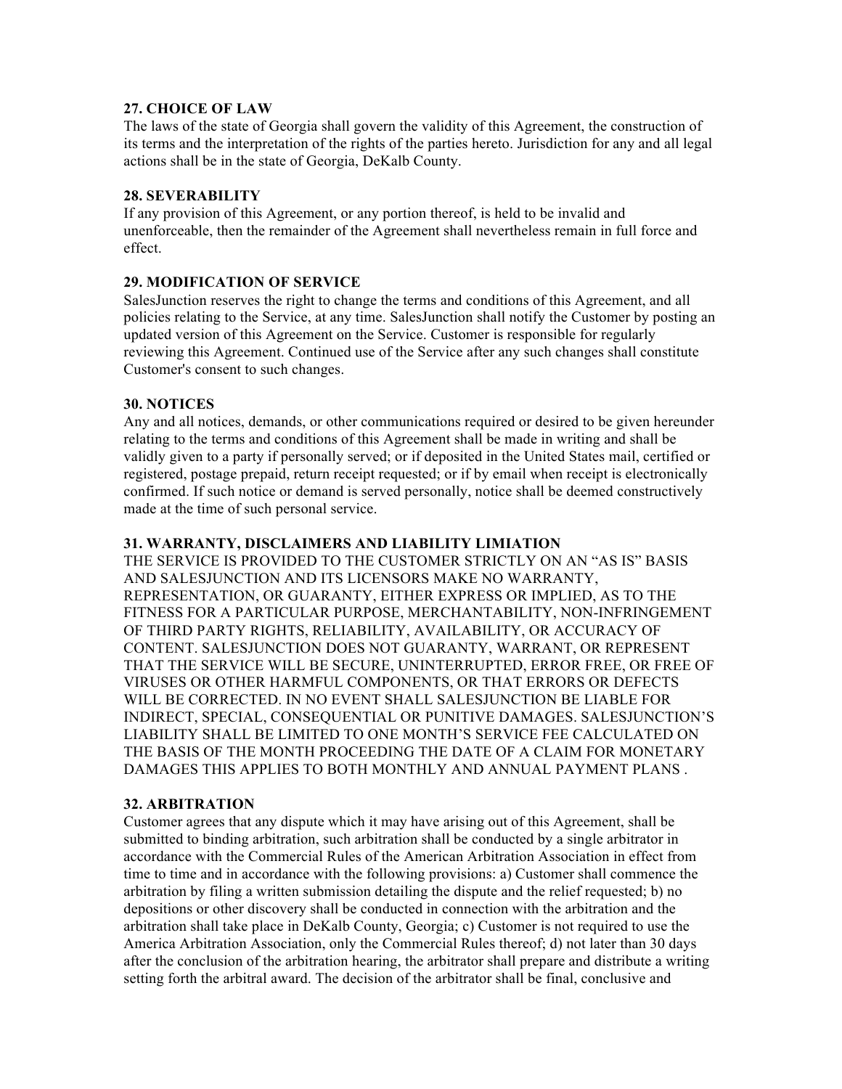### **27. CHOICE OF LAW**

The laws of the state of Georgia shall govern the validity of this Agreement, the construction of its terms and the interpretation of the rights of the parties hereto. Jurisdiction for any and all legal actions shall be in the state of Georgia, DeKalb County.

# **28. SEVERABILITY**

If any provision of this Agreement, or any portion thereof, is held to be invalid and unenforceable, then the remainder of the Agreement shall nevertheless remain in full force and effect.

# **29. MODIFICATION OF SERVICE**

SalesJunction reserves the right to change the terms and conditions of this Agreement, and all policies relating to the Service, at any time. SalesJunction shall notify the Customer by posting an updated version of this Agreement on the Service. Customer is responsible for regularly reviewing this Agreement. Continued use of the Service after any such changes shall constitute Customer's consent to such changes.

### **30. NOTICES**

Any and all notices, demands, or other communications required or desired to be given hereunder relating to the terms and conditions of this Agreement shall be made in writing and shall be validly given to a party if personally served; or if deposited in the United States mail, certified or registered, postage prepaid, return receipt requested; or if by email when receipt is electronically confirmed. If such notice or demand is served personally, notice shall be deemed constructively made at the time of such personal service.

# **31. WARRANTY, DISCLAIMERS AND LIABILITY LIMIATION**

THE SERVICE IS PROVIDED TO THE CUSTOMER STRICTLY ON AN "AS IS" BASIS AND SALESJUNCTION AND ITS LICENSORS MAKE NO WARRANTY, REPRESENTATION, OR GUARANTY, EITHER EXPRESS OR IMPLIED, AS TO THE FITNESS FOR A PARTICULAR PURPOSE, MERCHANTABILITY, NON-INFRINGEMENT OF THIRD PARTY RIGHTS, RELIABILITY, AVAILABILITY, OR ACCURACY OF CONTENT. SALESJUNCTION DOES NOT GUARANTY, WARRANT, OR REPRESENT THAT THE SERVICE WILL BE SECURE, UNINTERRUPTED, ERROR FREE, OR FREE OF VIRUSES OR OTHER HARMFUL COMPONENTS, OR THAT ERRORS OR DEFECTS WILL BE CORRECTED. IN NO EVENT SHALL SALESJUNCTION BE LIABLE FOR INDIRECT, SPECIAL, CONSEQUENTIAL OR PUNITIVE DAMAGES. SALESJUNCTION'S LIABILITY SHALL BE LIMITED TO ONE MONTH'S SERVICE FEE CALCULATED ON THE BASIS OF THE MONTH PROCEEDING THE DATE OF A CLAIM FOR MONETARY DAMAGES THIS APPLIES TO BOTH MONTHLY AND ANNUAL PAYMENT PLANS .

### **32. ARBITRATION**

Customer agrees that any dispute which it may have arising out of this Agreement, shall be submitted to binding arbitration, such arbitration shall be conducted by a single arbitrator in accordance with the Commercial Rules of the American Arbitration Association in effect from time to time and in accordance with the following provisions: a) Customer shall commence the arbitration by filing a written submission detailing the dispute and the relief requested; b) no depositions or other discovery shall be conducted in connection with the arbitration and the arbitration shall take place in DeKalb County, Georgia; c) Customer is not required to use the America Arbitration Association, only the Commercial Rules thereof; d) not later than 30 days after the conclusion of the arbitration hearing, the arbitrator shall prepare and distribute a writing setting forth the arbitral award. The decision of the arbitrator shall be final, conclusive and